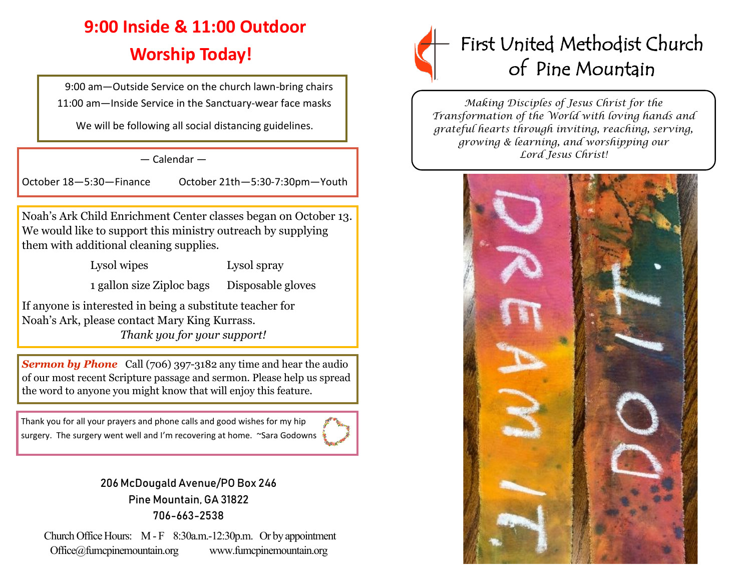# **9:00 Inside & 11:00 Outdoor Worship Today!**

 9:00 am—Outside Service on the church lawn-bring chairs 11:00 am—Inside Service in the Sanctuary-wear face masks

We will be following all social distancing guidelines.

# — Calendar —

October 18—5:30—Finance October 21th—5:30-7:30pm—Youth

Noah's Ark Child Enrichment Center classes began on October 13. We would like to support this ministry outreach by supplying them with additional cleaning supplies.

Lysol wipes Lysol spray

1 gallon size Ziploc bags Disposable gloves

If anyone is interested in being a substitute teacher for Noah's Ark, please contact Mary King Kurrass.  *Thank you for your support!*

**Sermon by Phone** Call (706) 397-3182 any time and hear the audio of our most recent Scripture passage and sermon. Please help us spread the word to anyone you might know that will enjoy this feature.

Thank you for all your prayers and phone calls and good wishes for my hip surgery. The surgery went well and I'm recovering at home. ~Sara Godowns



# 206 McDougald Avenue/PO Box 246 Pine Mountain, GA 31822 706-663-2538

Church Office Hours: M - F 8:30a.m.-12:30p.m. Or by appointment Office@fumcpinemountain.org www.fumcpinemountain.org



*Making Disciples of Jesus Christ for the Transformation of the World with loving hands and grateful hearts through inviting, reaching, serving, growing & learning, and worshipping our Lord Jesus Christ!*